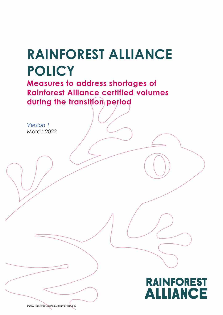## RAINFOREST ALLIANCE POLICY

Measures to address shortages of Rainforest Alliance certified volumes during the transition period

Version 1 March 2022



© 2022 Rainforest Alliance. All rights reserved.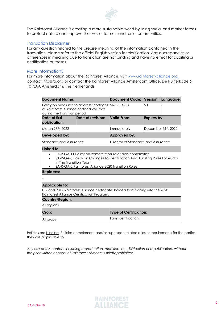

The Rainforest Alliance is creating a more sustainable world by using social and market forces to protect nature and improve the lives of farmers and forest communities.

## Translation Disclaimer

For any question related to the precise meaning of the information contained in the translation, please refer to the official English version for clarification. Any discrepancies or differences in meaning due to translation are not binding and have no effect for auditing or certification purposes.

## More information?

For more information about the Rainforest Alliance, visit www.rainforest-alliance.org, contact info@ra.org or contact the Rainforest Alliance Amsterdam Office, De Ruijterkade 6, 1013AA Amsterdam, The Netherlands.

| <b>Document Name:</b>                                                                                                          |                                                     | <b>Document Code: Version:</b>                                                                                                        |                               | Language: |  |
|--------------------------------------------------------------------------------------------------------------------------------|-----------------------------------------------------|---------------------------------------------------------------------------------------------------------------------------------------|-------------------------------|-----------|--|
| Policy on measures to address shortages<br>of Rainforest Alliance certified volumes<br>during the transition period            |                                                     | $SA-P-GA-18$                                                                                                                          | V١                            |           |  |
| Date of first<br>publication:                                                                                                  | Date of revision:                                   | Valid From:                                                                                                                           | Expires by:                   |           |  |
| March 28th, 2022                                                                                                               |                                                     | Immediately                                                                                                                           | December 31st, 2022           |           |  |
| Developed by:                                                                                                                  |                                                     | Approved by:                                                                                                                          |                               |           |  |
| Standards and Assurance                                                                                                        |                                                     | Director of Standards and Assurance                                                                                                   |                               |           |  |
| Linked to:                                                                                                                     |                                                     |                                                                                                                                       |                               |           |  |
| In The Transition Year<br><b>Replaces:</b>                                                                                     | SA-R-GA-2 Rainforest Alliance 2020 Transition Rules | SA-P-GA-11 Policy on Remote closure of Non-conformities<br>SA-P-GA-8 Policy on Changes To Certification And Auditing Rules For Audits |                               |           |  |
| Applicable to:                                                                                                                 |                                                     |                                                                                                                                       |                               |           |  |
| UTZ and 2017 Rainforest Alliance certificate holders transitioning into the 2020<br>Rainforest Alliance Certification Program. |                                                     |                                                                                                                                       |                               |           |  |
| Country/Region:                                                                                                                |                                                     |                                                                                                                                       |                               |           |  |
| All regions                                                                                                                    |                                                     |                                                                                                                                       |                               |           |  |
| Crop:                                                                                                                          |                                                     |                                                                                                                                       | <b>Type of Certification:</b> |           |  |
| All crops                                                                                                                      |                                                     | Farm certification.                                                                                                                   |                               |           |  |

Policies are binding. Policies complement and/or supersede related rules or requirements for the parties they are applicable to.

Any use of this content including reproduction, modification, distribution or republication, without the prior written consent of Rainforest Alliance is strictly prohibited.